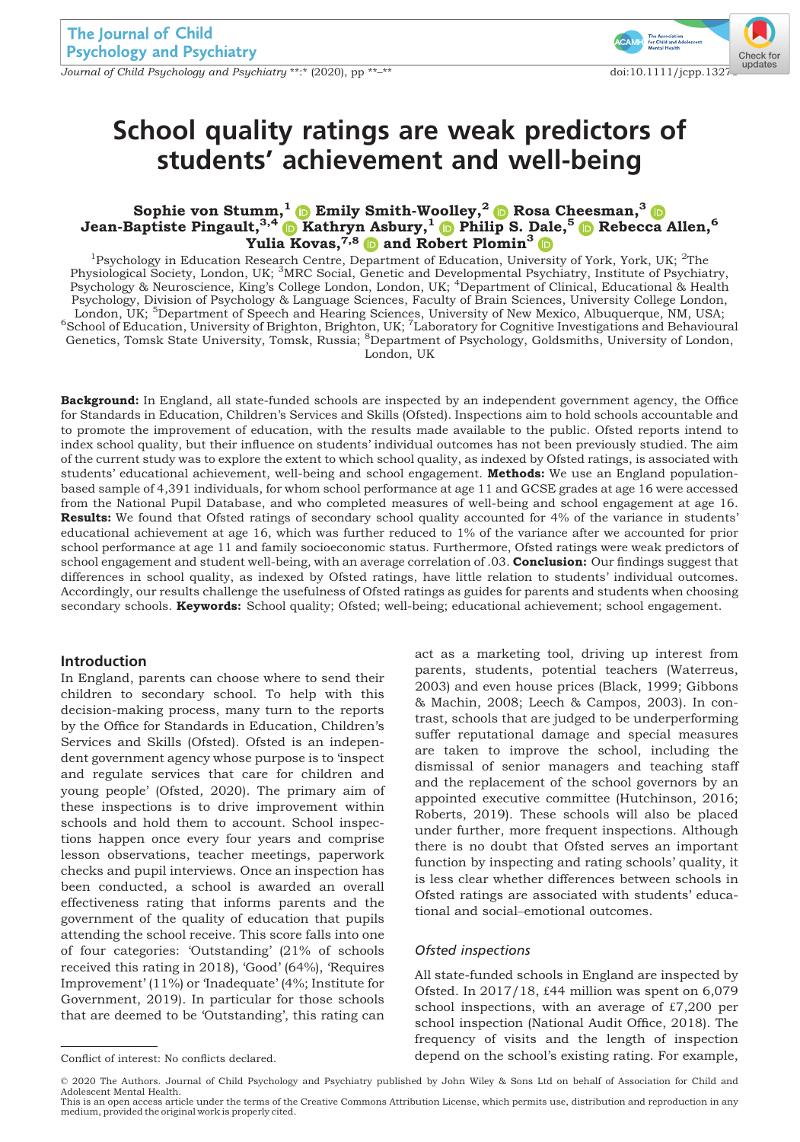Journal of Child Psychology and Psychiatry \*\*:\* (2020), pp \*\*–\*\* doi:10.1111/jcpp.132[76](http://crossmark.crossref.org/dialog/?doi=10.1111%2Fjcpp.13276&domain=pdf&date_stamp=2020-06-02)



# School quality ratings are weak predictors of students' achievement and well-being

## Sophie von Stumm, $^1$   $\bullet$  Emily Smith-Woolley, $^2$  $^2$   $\bullet$  Rosa Cheesman, $^3$  $^3$ Jean-Baptiste Pingault,  $^{3,4}$  $^{3,4}$  $^{3,4}$   $\bullet$  Kathryn Asbury,  $^1$   $\bullet$  Philip S. Dale,  $^5$   $\bullet$  Rebecca Allen,  $^6$ Yulia Kovas, 7,8 and Robert Plomin<sup>3</sup>

<sup>1</sup>Psychology in Education Research Centre, Department of Education, University of York, York, UK; <sup>2</sup>The Physiological Šociety, London, UK; <sup>3</sup>MRC Social, Genetic and Developmental Psychiatry, Institute of Psychiatry,<br>Psychology & Neuroscience, King's College London, London, UK; <sup>4</sup>Department of Clinical, Educational & Health Psychology, Division of Psychology & Language Sciences, Faculty of Brain Sciences, University College London, London, UK; <sup>5</sup>Department of Speech and Hearing Sciences, University of New Mexico, Albuquerque, NM, USA;<br><sup>6</sup>School of Education, University of Brighton, Brighton, UK; <sup>7</sup>Laboratory for Cognitive Investigations and Behavio London, UK

Background: In England, all state-funded schools are inspected by an independent government agency, the Office for Standards in Education, Children's Services and Skills (Ofsted). Inspections aim to hold schools accountable and to promote the improvement of education, with the results made available to the public. Ofsted reports intend to index school quality, but their influence on students' individual outcomes has not been previously studied. The aim of the current study was to explore the extent to which school quality, as indexed by Ofsted ratings, is associated with students' educational achievement, well-being and school engagement. Methods: We use an England populationbased sample of 4,391 individuals, for whom school performance at age 11 and GCSE grades at age 16 were accessed from the National Pupil Database, and who completed measures of well-being and school engagement at age 16. Results: We found that Ofsted ratings of secondary school quality accounted for 4% of the variance in students' educational achievement at age 16, which was further reduced to 1% of the variance after we accounted for prior school performance at age 11 and family socioeconomic status. Furthermore, Ofsted ratings were weak predictors of school engagement and student well-being, with an average correlation of .03. Conclusion: Our findings suggest that differences in school quality, as indexed by Ofsted ratings, have little relation to students' individual outcomes. Accordingly, our results challenge the usefulness of Ofsted ratings as guides for parents and students when choosing secondary schools. Keywords: School quality; Ofsted; well-being; educational achievement; school engagement.

#### Introduction

In England, parents can choose where to send their children to secondary school. To help with this decision-making process, many turn to the reports by the Office for Standards in Education, Children's Services and Skills (Ofsted). Ofsted is an independent government agency whose purpose is to 'inspect and regulate services that care for children and young people' (Ofsted, 2020). The primary aim of these inspections is to drive improvement within schools and hold them to account. School inspections happen once every four years and comprise lesson observations, teacher meetings, paperwork checks and pupil interviews. Once an inspection has been conducted, a school is awarded an overall effectiveness rating that informs parents and the government of the quality of education that pupils attending the school receive. This score falls into one of four categories: 'Outstanding' (21% of schools received this rating in 2018), 'Good' (64%), 'Requires Improvement' (11%) or 'Inadequate' (4%; Institute for Government, 2019). In particular for those schools that are deemed to be 'Outstanding', this rating can

act as a marketing tool, driving up interest from parents, students, potential teachers (Waterreus, 2003) and even house prices (Black, 1999; Gibbons & Machin, 2008; Leech & Campos, 2003). In contrast, schools that are judged to be underperforming suffer reputational damage and special measures are taken to improve the school, including the dismissal of senior managers and teaching staff and the replacement of the school governors by an appointed executive committee (Hutchinson, 2016; Roberts, 2019). These schools will also be placed under further, more frequent inspections. Although there is no doubt that Ofsted serves an important function by inspecting and rating schools' quality, it is less clear whether differences between schools in Ofsted ratings are associated with students' educational and social–emotional outcomes.

#### Ofsted inspections

All state-funded schools in England are inspected by Ofsted. In 2017/18, £44 million was spent on 6,079 school inspections, with an average of £7,200 per school inspection (National Audit Office, 2018). The frequency of visits and the length of inspection Conflict of interest: No conflicts declared. depend on the school's existing rating. For example,

© 2020 The Authors. Journal of Child Psychology and Psychiatry published by John Wiley & Sons Ltd on behalf of Association for Child and Adolescent Mental Health.

This is an open access article under the terms of the [Creative Commons Attribution](http://creativecommons.org/licenses/by/4.0/) License, which permits use, distribution and reproduction in any medium, provided the original work is properly cited.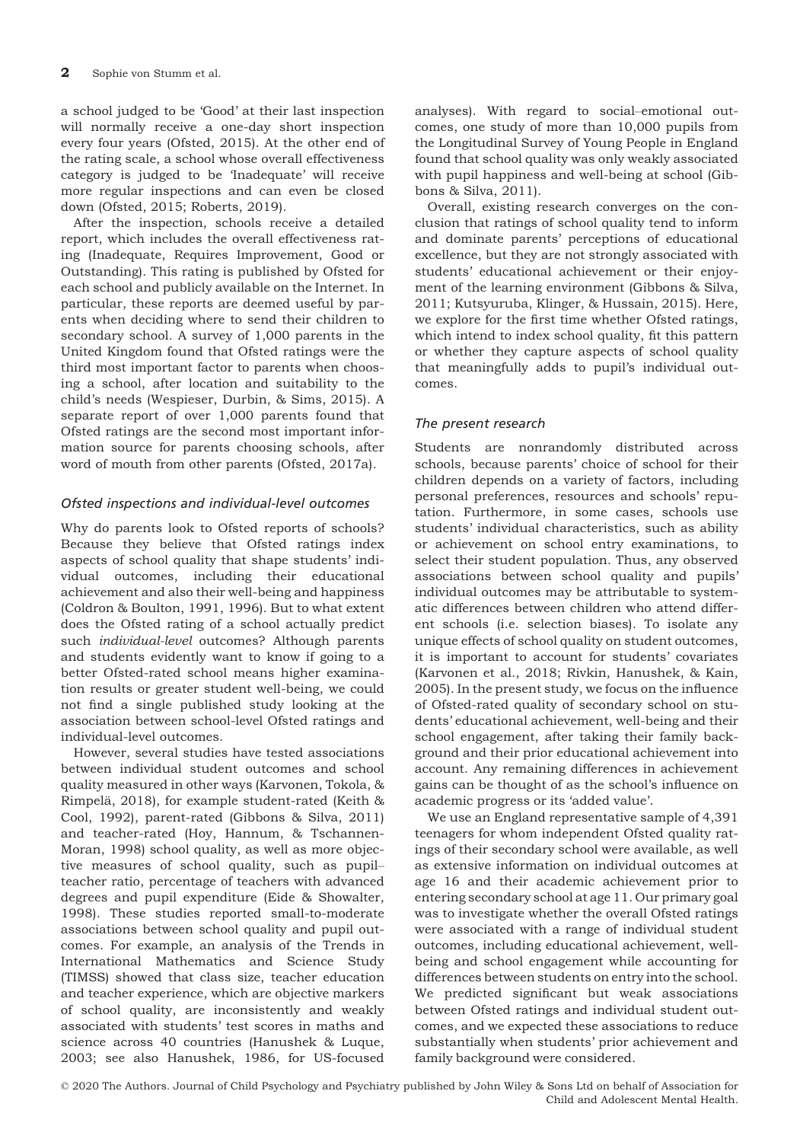a school judged to be 'Good' at their last inspection will normally receive a one-day short inspection every four years (Ofsted, 2015). At the other end of the rating scale, a school whose overall effectiveness category is judged to be 'Inadequate' will receive more regular inspections and can even be closed down (Ofsted, 2015; Roberts, 2019).

After the inspection, schools receive a detailed report, which includes the overall effectiveness rating (Inadequate, Requires Improvement, Good or Outstanding). This rating is published by Ofsted for each school and publicly available on the Internet. In particular, these reports are deemed useful by parents when deciding where to send their children to secondary school. A survey of 1,000 parents in the United Kingdom found that Ofsted ratings were the third most important factor to parents when choosing a school, after location and suitability to the child's needs (Wespieser, Durbin, & Sims, 2015). A separate report of over 1,000 parents found that Ofsted ratings are the second most important information source for parents choosing schools, after word of mouth from other parents (Ofsted, 2017a).

# Ofsted inspections and individual-level outcomes

Why do parents look to Ofsted reports of schools? Because they believe that Ofsted ratings index aspects of school quality that shape students' individual outcomes, including their educational achievement and also their well-being and happiness (Coldron & Boulton, 1991, 1996). But to what extent does the Ofsted rating of a school actually predict such individual-level outcomes? Although parents and students evidently want to know if going to a better Ofsted-rated school means higher examination results or greater student well-being, we could not find a single published study looking at the association between school-level Ofsted ratings and individual-level outcomes.

However, several studies have tested associations between individual student outcomes and school quality measured in other ways (Karvonen, Tokola, & Rimpelä, 2018), for example student-rated (Keith & Cool, 1992), parent-rated (Gibbons & Silva, 2011) and teacher-rated (Hoy, Hannum, & Tschannen-Moran, 1998) school quality, as well as more objective measures of school quality, such as pupil– teacher ratio, percentage of teachers with advanced degrees and pupil expenditure (Eide & Showalter, 1998). These studies reported small-to-moderate associations between school quality and pupil outcomes. For example, an analysis of the Trends in International Mathematics and Science Study (TIMSS) showed that class size, teacher education and teacher experience, which are objective markers of school quality, are inconsistently and weakly associated with students' test scores in maths and science across 40 countries (Hanushek & Luque, 2003; see also Hanushek, 1986, for US-focused

analyses). With regard to social–emotional outcomes, one study of more than 10,000 pupils from the Longitudinal Survey of Young People in England found that school quality was only weakly associated with pupil happiness and well-being at school (Gibbons & Silva, 2011).

Overall, existing research converges on the conclusion that ratings of school quality tend to inform and dominate parents' perceptions of educational excellence, but they are not strongly associated with students' educational achievement or their enjoyment of the learning environment (Gibbons & Silva, 2011; Kutsyuruba, Klinger, & Hussain, 2015). Here, we explore for the first time whether Ofsted ratings, which intend to index school quality, fit this pattern or whether they capture aspects of school quality that meaningfully adds to pupil's individual outcomes.

## The present research

Students are nonrandomly distributed across schools, because parents' choice of school for their children depends on a variety of factors, including personal preferences, resources and schools' reputation. Furthermore, in some cases, schools use students' individual characteristics, such as ability or achievement on school entry examinations, to select their student population. Thus, any observed associations between school quality and pupils' individual outcomes may be attributable to systematic differences between children who attend different schools (i.e. selection biases). To isolate any unique effects of school quality on student outcomes, it is important to account for students' covariates (Karvonen et al., 2018; Rivkin, Hanushek, & Kain, 2005). In the present study, we focus on the influence of Ofsted-rated quality of secondary school on students' educational achievement, well-being and their school engagement, after taking their family background and their prior educational achievement into account. Any remaining differences in achievement gains can be thought of as the school's influence on academic progress or its 'added value'.

We use an England representative sample of 4,391 teenagers for whom independent Ofsted quality ratings of their secondary school were available, as well as extensive information on individual outcomes at age 16 and their academic achievement prior to entering secondary school at age 11. Our primary goal was to investigate whether the overall Ofsted ratings were associated with a range of individual student outcomes, including educational achievement, wellbeing and school engagement while accounting for differences between students on entry into the school. We predicted significant but weak associations between Ofsted ratings and individual student outcomes, and we expected these associations to reduce substantially when students' prior achievement and family background were considered.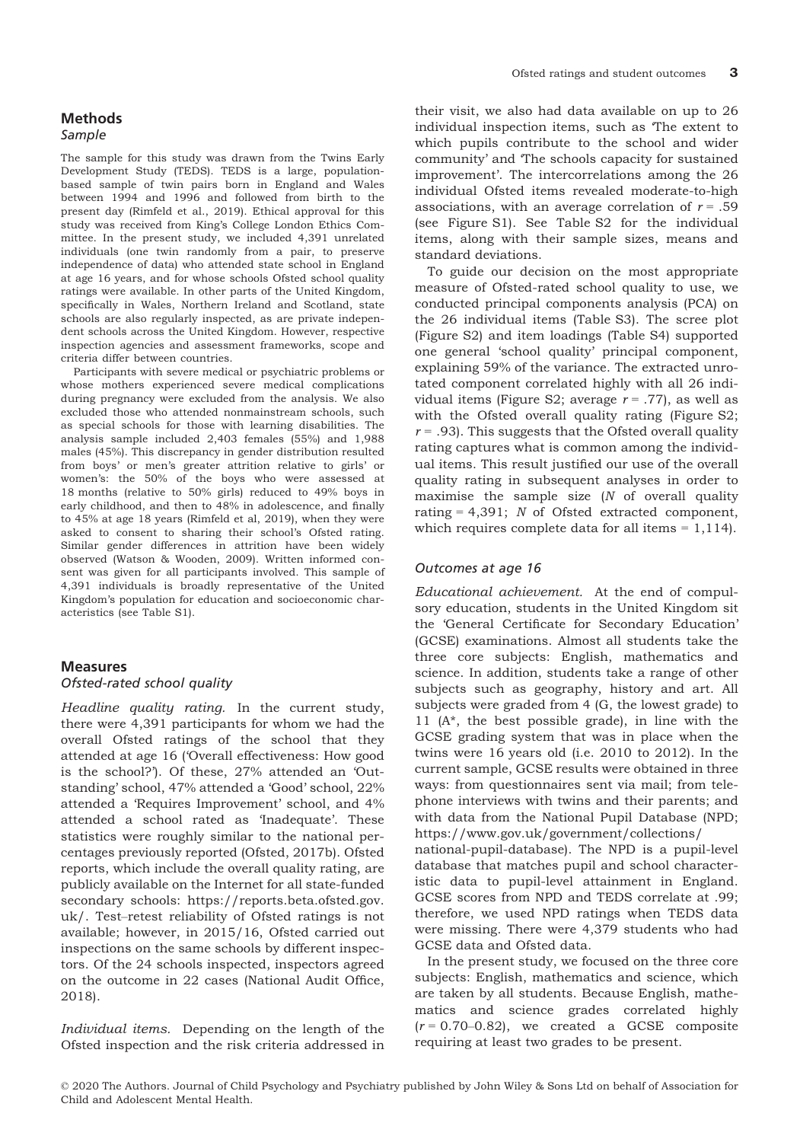#### Methods Sample

The sample for this study was drawn from the Twins Early Development Study (TEDS). TEDS is a large, populationbased sample of twin pairs born in England and Wales between 1994 and 1996 and followed from birth to the present day (Rimfeld et al., 2019). Ethical approval for this study was received from King's College London Ethics Committee. In the present study, we included 4,391 unrelated individuals (one twin randomly from a pair, to preserve independence of data) who attended state school in England at age 16 years, and for whose schools Ofsted school quality ratings were available. In other parts of the United Kingdom, specifically in Wales, Northern Ireland and Scotland, state schools are also regularly inspected, as are private independent schools across the United Kingdom. However, respective inspection agencies and assessment frameworks, scope and criteria differ between countries.

Participants with severe medical or psychiatric problems or whose mothers experienced severe medical complications during pregnancy were excluded from the analysis. We also excluded those who attended nonmainstream schools, such as special schools for those with learning disabilities. The analysis sample included 2,403 females (55%) and 1,988 males (45%). This discrepancy in gender distribution resulted from boys' or men's greater attrition relative to girls' or women's: the 50% of the boys who were assessed at 18 months (relative to 50% girls) reduced to 49% boys in early childhood, and then to 48% in adolescence, and finally to 45% at age 18 years (Rimfeld et al, 2019), when they were asked to consent to sharing their school's Ofsted rating. Similar gender differences in attrition have been widely observed (Watson & Wooden, 2009). Written informed consent was given for all participants involved. This sample of 4,391 individuals is broadly representative of the United Kingdom's population for education and socioeconomic characteristics (see Table S1).

# **Measures**

#### Ofsted-rated school quality

Headline quality rating. In the current study, there were 4,391 participants for whom we had the overall Ofsted ratings of the school that they attended at age 16 ('Overall effectiveness: How good is the school?'). Of these, 27% attended an 'Outstanding' school, 47% attended a 'Good' school, 22% attended a 'Requires Improvement' school, and 4% attended a school rated as 'Inadequate'. These statistics were roughly similar to the national percentages previously reported (Ofsted, 2017b). Ofsted reports, which include the overall quality rating, are publicly available on the Internet for all state-funded secondary schools: [https://reports.beta.ofsted.gov.](https://reports.beta.ofsted.gov.uk/) [uk/](https://reports.beta.ofsted.gov.uk/). Test–retest reliability of Ofsted ratings is not available; however, in 2015/16, Ofsted carried out inspections on the same schools by different inspectors. Of the 24 schools inspected, inspectors agreed on the outcome in 22 cases (National Audit Office, 2018).

Individual items. Depending on the length of the Ofsted inspection and the risk criteria addressed in their visit, we also had data available on up to 26 individual inspection items, such as 'The extent to which pupils contribute to the school and wider community' and 'The schools capacity for sustained improvement'. The intercorrelations among the 26 individual Ofsted items revealed moderate-to-high associations, with an average correlation of  $r = .59$ (see Figure S1). See Table S2 for the individual items, along with their sample sizes, means and standard deviations.

To guide our decision on the most appropriate measure of Ofsted-rated school quality to use, we conducted principal components analysis (PCA) on the 26 individual items (Table S3). The scree plot (Figure S2) and item loadings (Table S4) supported one general 'school quality' principal component, explaining 59% of the variance. The extracted unrotated component correlated highly with all 26 individual items (Figure S2; average  $r = .77$ ), as well as with the Ofsted overall quality rating (Figure S2;  $r = .93$ ). This suggests that the Ofsted overall quality rating captures what is common among the individual items. This result justified our use of the overall quality rating in subsequent analyses in order to maximise the sample size  $(N \text{ of overall quality})$ rating  $= 4,391$ ; *N* of Ofsted extracted component, which requires complete data for all items  $= 1,114$ .

### Outcomes at age 16

Educational achievement. At the end of compulsory education, students in the United Kingdom sit the 'General Certificate for Secondary Education' (GCSE) examinations. Almost all students take the three core subjects: English, mathematics and science. In addition, students take a range of other subjects such as geography, history and art. All subjects were graded from 4 (G, the lowest grade) to 11 (A\*, the best possible grade), in line with the GCSE grading system that was in place when the twins were 16 years old (i.e. 2010 to 2012). In the current sample, GCSE results were obtained in three ways: from questionnaires sent via mail; from telephone interviews with twins and their parents; and with data from the National Pupil Database (NPD; [https://www.gov.uk/government/collections/](https://www.gov.uk/government/collections/national-pupil-database)

[national-pupil-database](https://www.gov.uk/government/collections/national-pupil-database)). The NPD is a pupil-level database that matches pupil and school characteristic data to pupil-level attainment in England. GCSE scores from NPD and TEDS correlate at .99; therefore, we used NPD ratings when TEDS data were missing. There were 4,379 students who had GCSE data and Ofsted data.

In the present study, we focused on the three core subjects: English, mathematics and science, which are taken by all students. Because English, mathematics and science grades correlated highly  $(r = 0.70 - 0.82)$ , we created a GCSE composite requiring at least two grades to be present.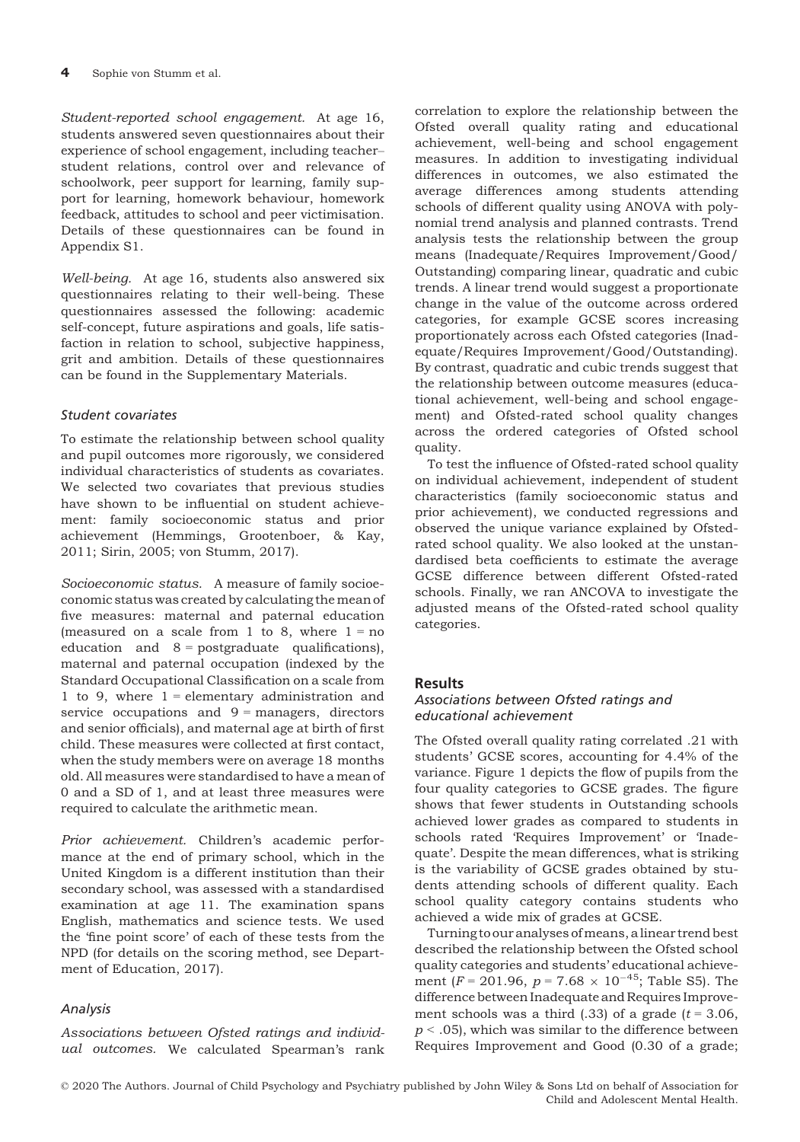Student-reported school engagement. At age 16, students answered seven questionnaires about their experience of school engagement, including teacher– student relations, control over and relevance of schoolwork, peer support for learning, family support for learning, homework behaviour, homework feedback, attitudes to school and peer victimisation. Details of these questionnaires can be found in Appendix S1.

Well-being. At age 16, students also answered six questionnaires relating to their well-being. These questionnaires assessed the following: academic self-concept, future aspirations and goals, life satisfaction in relation to school, subjective happiness, grit and ambition. Details of these questionnaires can be found in the Supplementary Materials.

## Student covariates

To estimate the relationship between school quality and pupil outcomes more rigorously, we considered individual characteristics of students as covariates. We selected two covariates that previous studies have shown to be influential on student achievement: family socioeconomic status and prior achievement (Hemmings, Grootenboer, & Kay, 2011; Sirin, 2005; von Stumm, 2017).

Socioeconomic status. A measure of family socioeconomic status was created by calculating themean of five measures: maternal and paternal education (measured on a scale from 1 to 8, where  $1 = no$ education and  $8 =$  postgraduate qualifications), maternal and paternal occupation (indexed by the Standard Occupational Classification on a scale from 1 to 9, where  $1 =$  elementary administration and service occupations and  $9 =$  managers, directors and senior officials), and maternal age at birth of first child. These measures were collected at first contact, when the study members were on average 18 months old. All measures were standardised to have a mean of 0 and a SD of 1, and at least three measures were required to calculate the arithmetic mean.

Prior achievement. Children's academic performance at the end of primary school, which in the United Kingdom is a different institution than their secondary school, was assessed with a standardised examination at age 11. The examination spans English, mathematics and science tests. We used the 'fine point score' of each of these tests from the NPD (for details on the scoring method, see Department of Education, 2017).

# Analysis

Associations between Ofsted ratings and individual outcomes. We calculated Spearman's rank

correlation to explore the relationship between the Ofsted overall quality rating and educational achievement, well-being and school engagement measures. In addition to investigating individual differences in outcomes, we also estimated the average differences among students attending schools of different quality using ANOVA with polynomial trend analysis and planned contrasts. Trend analysis tests the relationship between the group means (Inadequate/Requires Improvement/Good/ Outstanding) comparing linear, quadratic and cubic trends. A linear trend would suggest a proportionate change in the value of the outcome across ordered categories, for example GCSE scores increasing proportionately across each Ofsted categories (Inadequate/Requires Improvement/Good/Outstanding). By contrast, quadratic and cubic trends suggest that the relationship between outcome measures (educational achievement, well-being and school engagement) and Ofsted-rated school quality changes across the ordered categories of Ofsted school quality.

To test the influence of Ofsted-rated school quality on individual achievement, independent of student characteristics (family socioeconomic status and prior achievement), we conducted regressions and observed the unique variance explained by Ofstedrated school quality. We also looked at the unstandardised beta coefficients to estimate the average GCSE difference between different Ofsted-rated schools. Finally, we ran ANCOVA to investigate the adjusted means of the Ofsted-rated school quality categories.

#### **Results**

## Associations between Ofsted ratings and educational achievement

The Ofsted overall quality rating correlated .21 with students' GCSE scores, accounting for 4.4% of the variance. Figure 1 depicts the flow of pupils from the four quality categories to GCSE grades. The figure shows that fewer students in Outstanding schools achieved lower grades as compared to students in schools rated 'Requires Improvement' or 'Inadequate'. Despite the mean differences, what is striking is the variability of GCSE grades obtained by students attending schools of different quality. Each school quality category contains students who achieved a wide mix of grades at GCSE.

Turning to our analyses ofmeans, a linear trend best described the relationship between the Ofsted school quality categories and students' educational achievement ( $F = 201.96$ ,  $p = 7.68 \times 10^{-45}$ ; Table S5). The difference between Inadequate and Requires Improvement schools was a third (.33) of a grade ( $t = 3.06$ ,  $p < .05$ , which was similar to the difference between Requires Improvement and Good (0.30 of a grade;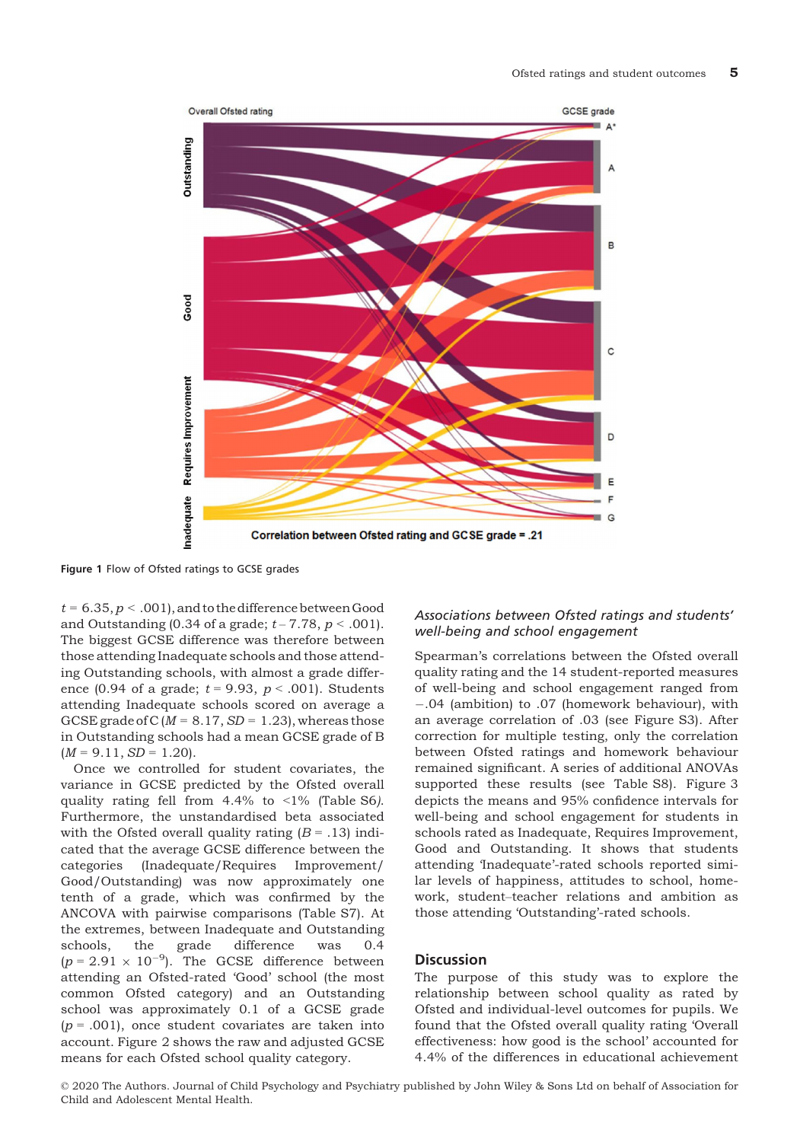

Figure 1 Flow of Ofsted ratings to GCSE grades

 $t = 6.35, p < .001$ , and to the difference between Good and Outstanding (0.34 of a grade;  $t - 7.78$ ,  $p < .001$ ). The biggest GCSE difference was therefore between those attending Inadequate schools and those attending Outstanding schools, with almost a grade difference (0.94 of a grade;  $t = 9.93$ ,  $p < .001$ ). Students attending Inadequate schools scored on average a GCSE grade of C ( $M = 8.17$ , SD = 1.23), whereas those in Outstanding schools had a mean GCSE grade of B  $(M = 9.11, SD = 1.20).$ 

Once we controlled for student covariates, the variance in GCSE predicted by the Ofsted overall quality rating fell from 4.4% to <1% (Table S6). Furthermore, the unstandardised beta associated with the Ofsted overall quality rating  $(B = .13)$  indicated that the average GCSE difference between the categories (Inadequate/Requires Improvement/ Good/Outstanding) was now approximately one tenth of a grade, which was confirmed by the ANCOVA with pairwise comparisons (Table S7). At the extremes, between Inadequate and Outstanding<br>schools, the grade difference was 0.4 schools, the grade difference was 0.4  $(p = 2.91 \times 10^{-9})$ . The GCSE difference between attending an Ofsted-rated 'Good' school (the most common Ofsted category) and an Outstanding school was approximately 0.1 of a GCSE grade  $(p = .001)$ , once student covariates are taken into account. Figure 2 shows the raw and adjusted GCSE means for each Ofsted school quality category.

#### Associations between Ofsted ratings and students' well-being and school engagement

Spearman's correlations between the Ofsted overall quality rating and the 14 student-reported measures of well-being and school engagement ranged from .04 (ambition) to .07 (homework behaviour), with an average correlation of .03 (see Figure S3). After correction for multiple testing, only the correlation between Ofsted ratings and homework behaviour remained significant. A series of additional ANOVAs supported these results (see Table S8). Figure 3 depicts the means and 95% confidence intervals for well-being and school engagement for students in schools rated as Inadequate, Requires Improvement, Good and Outstanding. It shows that students attending 'Inadequate'-rated schools reported similar levels of happiness, attitudes to school, homework, student–teacher relations and ambition as those attending 'Outstanding'-rated schools.

### **Discussion**

The purpose of this study was to explore the relationship between school quality as rated by Ofsted and individual-level outcomes for pupils. We found that the Ofsted overall quality rating 'Overall effectiveness: how good is the school' accounted for 4.4% of the differences in educational achievement

© 2020 The Authors. Journal of Child Psychology and Psychiatry published by John Wiley & Sons Ltd on behalf of Association for Child and Adolescent Mental Health.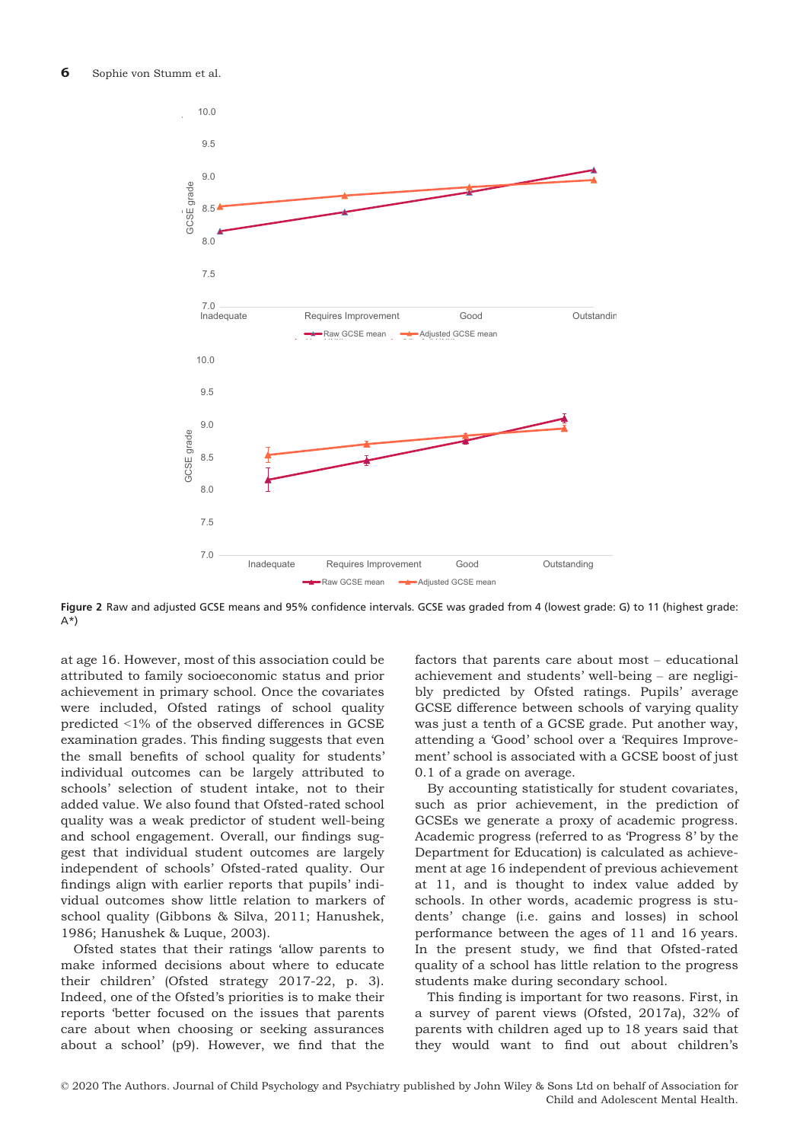

Figure 2 Raw and adjusted GCSE means and 95% confidence intervals. GCSE was graded from 4 (lowest grade: G) to 11 (highest grade:  $A^*$ 

at age 16. However, most of this association could be attributed to family socioeconomic status and prior achievement in primary school. Once the covariates were included, Ofsted ratings of school quality predicted <1% of the observed differences in GCSE examination grades. This finding suggests that even the small benefits of school quality for students' individual outcomes can be largely attributed to schools' selection of student intake, not to their added value. We also found that Ofsted-rated school quality was a weak predictor of student well-being and school engagement. Overall, our findings suggest that individual student outcomes are largely independent of schools' Ofsted-rated quality. Our findings align with earlier reports that pupils' individual outcomes show little relation to markers of school quality (Gibbons & Silva, 2011; Hanushek, 1986; Hanushek & Luque, 2003).

Ofsted states that their ratings 'allow parents to make informed decisions about where to educate their children' (Ofsted strategy 2017-22, p. 3). Indeed, one of the Ofsted's priorities is to make their reports 'better focused on the issues that parents care about when choosing or seeking assurances about a school' (p9). However, we find that the

factors that parents care about most – educational achievement and students' well-being – are negligibly predicted by Ofsted ratings. Pupils' average GCSE difference between schools of varying quality was just a tenth of a GCSE grade. Put another way, attending a 'Good' school over a 'Requires Improvement' school is associated with a GCSE boost of just 0.1 of a grade on average.

By accounting statistically for student covariates, such as prior achievement, in the prediction of GCSEs we generate a proxy of academic progress. Academic progress (referred to as 'Progress 8' by the Department for Education) is calculated as achievement at age 16 independent of previous achievement at 11, and is thought to index value added by schools. In other words, academic progress is students' change (i.e. gains and losses) in school performance between the ages of 11 and 16 years. In the present study, we find that Ofsted-rated quality of a school has little relation to the progress students make during secondary school.

This finding is important for two reasons. First, in a survey of parent views (Ofsted, 2017a), 32% of parents with children aged up to 18 years said that they would want to find out about children's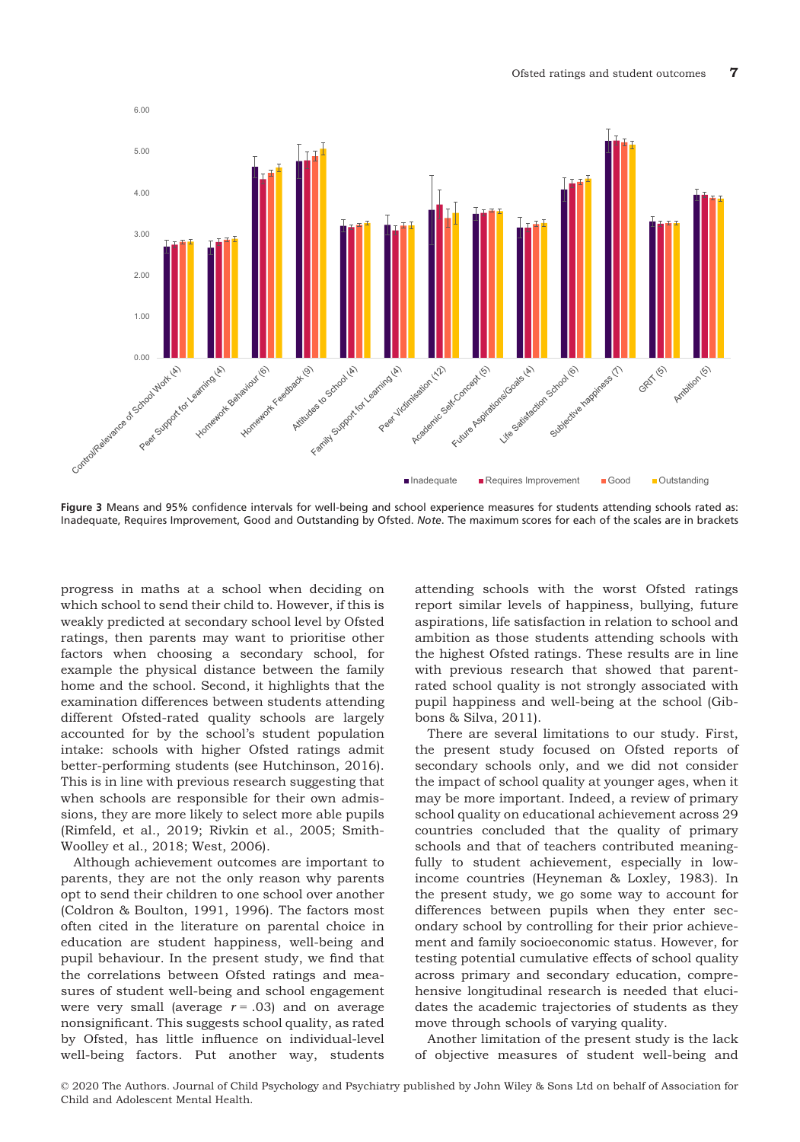

Figure 3 Means and 95% confidence intervals for well-being and school experience measures for students attending schools rated as: Inadequate, Requires Improvement, Good and Outstanding by Ofsted. Note. The maximum scores for each of the scales are in brackets

progress in maths at a school when deciding on which school to send their child to. However, if this is weakly predicted at secondary school level by Ofsted ratings, then parents may want to prioritise other factors when choosing a secondary school, for example the physical distance between the family home and the school. Second, it highlights that the examination differences between students attending different Ofsted-rated quality schools are largely accounted for by the school's student population intake: schools with higher Ofsted ratings admit better-performing students (see Hutchinson, 2016). This is in line with previous research suggesting that when schools are responsible for their own admissions, they are more likely to select more able pupils (Rimfeld, et al., 2019; Rivkin et al., 2005; Smith-Woolley et al., 2018; West, 2006).

Although achievement outcomes are important to parents, they are not the only reason why parents opt to send their children to one school over another (Coldron & Boulton, 1991, 1996). The factors most often cited in the literature on parental choice in education are student happiness, well-being and pupil behaviour. In the present study, we find that the correlations between Ofsted ratings and measures of student well-being and school engagement were very small (average  $r = .03$ ) and on average nonsignificant. This suggests school quality, as rated by Ofsted, has little influence on individual-level well-being factors. Put another way, students attending schools with the worst Ofsted ratings report similar levels of happiness, bullying, future aspirations, life satisfaction in relation to school and ambition as those students attending schools with the highest Ofsted ratings. These results are in line with previous research that showed that parentrated school quality is not strongly associated with pupil happiness and well-being at the school (Gibbons & Silva, 2011).

There are several limitations to our study. First, the present study focused on Ofsted reports of secondary schools only, and we did not consider the impact of school quality at younger ages, when it may be more important. Indeed, a review of primary school quality on educational achievement across 29 countries concluded that the quality of primary schools and that of teachers contributed meaningfully to student achievement, especially in lowincome countries (Heyneman & Loxley, 1983). In the present study, we go some way to account for differences between pupils when they enter secondary school by controlling for their prior achievement and family socioeconomic status. However, for testing potential cumulative effects of school quality across primary and secondary education, comprehensive longitudinal research is needed that elucidates the academic trajectories of students as they move through schools of varying quality.

Another limitation of the present study is the lack of objective measures of student well-being and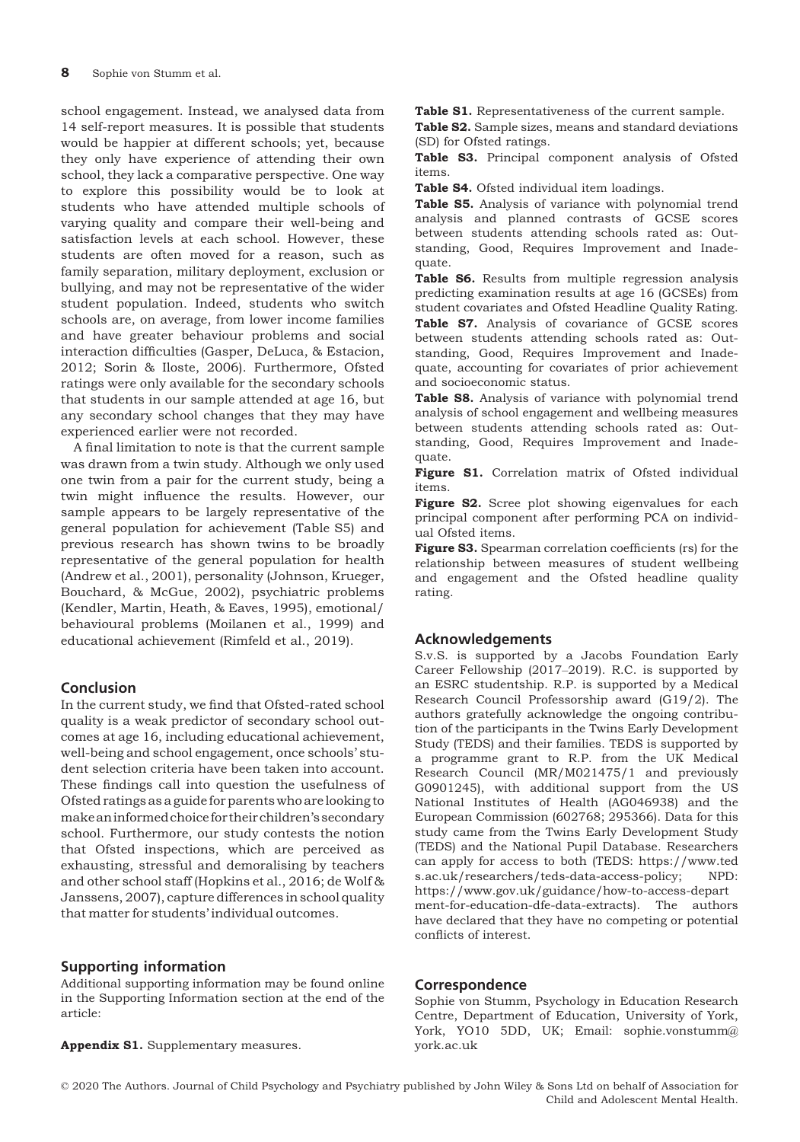school engagement. Instead, we analysed data from 14 self-report measures. It is possible that students would be happier at different schools; yet, because they only have experience of attending their own school, they lack a comparative perspective. One way to explore this possibility would be to look at students who have attended multiple schools of varying quality and compare their well-being and satisfaction levels at each school. However, these students are often moved for a reason, such as family separation, military deployment, exclusion or bullying, and may not be representative of the wider student population. Indeed, students who switch schools are, on average, from lower income families and have greater behaviour problems and social interaction difficulties (Gasper, DeLuca, & Estacion, 2012; Sorin & Iloste, 2006). Furthermore, Ofsted ratings were only available for the secondary schools that students in our sample attended at age 16, but any secondary school changes that they may have experienced earlier were not recorded.

A final limitation to note is that the current sample was drawn from a twin study. Although we only used one twin from a pair for the current study, being a twin might influence the results. However, our sample appears to be largely representative of the general population for achievement (Table S5) and previous research has shown twins to be broadly representative of the general population for health (Andrew et al., 2001), personality (Johnson, Krueger, Bouchard, & McGue, 2002), psychiatric problems (Kendler, Martin, Heath, & Eaves, 1995), emotional/ behavioural problems (Moilanen et al., 1999) and educational achievement (Rimfeld et al., 2019).

# Conclusion

In the current study, we find that Ofsted-rated school quality is a weak predictor of secondary school outcomes at age 16, including educational achievement, well-being and school engagement, once schools' student selection criteria have been taken into account. These findings call into question the usefulness of Ofsted ratings as a guide for parents who are looking to makean informed choice for their children's secondary school. Furthermore, our study contests the notion that Ofsted inspections, which are perceived as exhausting, stressful and demoralising by teachers and other school staff (Hopkins et al., 2016; de Wolf & Janssens, 2007), capture differences in school quality that matter for students' individual outcomes.

# Supporting information

Additional supporting information may be found online in the Supporting Information section at the end of the article:

Appendix S1. Supplementary measures.

Table S1. Representativeness of the current sample.

Table S2. Sample sizes, means and standard deviations (SD) for Ofsted ratings.

Table S3. Principal component analysis of Ofsted items.

Table S4. Ofsted individual item loadings.

Table S5. Analysis of variance with polynomial trend analysis and planned contrasts of GCSE scores between students attending schools rated as: Outstanding, Good, Requires Improvement and Inadequate.

Table S6. Results from multiple regression analysis predicting examination results at age 16 (GCSEs) from student covariates and Ofsted Headline Quality Rating. Table S7. Analysis of covariance of GCSE scores between students attending schools rated as: Outstanding, Good, Requires Improvement and Inadequate, accounting for covariates of prior achievement and socioeconomic status.

Table S8. Analysis of variance with polynomial trend analysis of school engagement and wellbeing measures between students attending schools rated as: Outstanding, Good, Requires Improvement and Inadequate.

Figure S1. Correlation matrix of Ofsted individual items.

Figure S2. Scree plot showing eigenvalues for each principal component after performing PCA on individual Ofsted items.

Figure S3. Spearman correlation coefficients (rs) for the relationship between measures of student wellbeing and engagement and the Ofsted headline quality rating.

# Acknowledgements

S.v.S. is supported by a Jacobs Foundation Early Career Fellowship (2017–2019). R.C. is supported by an ESRC studentship. R.P. is supported by a Medical Research Council Professorship award (G19/2). The authors gratefully acknowledge the ongoing contribution of the participants in the Twins Early Development Study (TEDS) and their families. TEDS is supported by a programme grant to R.P. from the UK Medical Research Council (MR/M021475/1 and previously G0901245), with additional support from the US National Institutes of Health (AG046938) and the European Commission (602768; 295366). Data for this study came from the Twins Early Development Study (TEDS) and the National Pupil Database. Researchers can apply for access to both (TEDS: [https://www.ted](https://www.teds.ac.uk/researchers/teds-data-access-policy) [s.ac.uk/researchers/teds-data-access-policy](https://www.teds.ac.uk/researchers/teds-data-access-policy); NPD: [https://www.gov.uk/guidance/how-to-access-depart](https://www.gov.uk/guidance/how-to-access-department-for-education-dfe-data-extracts) [ment-for-education-dfe-data-extracts\)](https://www.gov.uk/guidance/how-to-access-department-for-education-dfe-data-extracts). The authors have declared that they have no competing or potential conflicts of interest.

#### **Correspondence**

Sophie von Stumm, Psychology in Education Research Centre, Department of Education, University of York, York, YO10 5DD, UK; Email: sophie.vonstumm@ york.ac.uk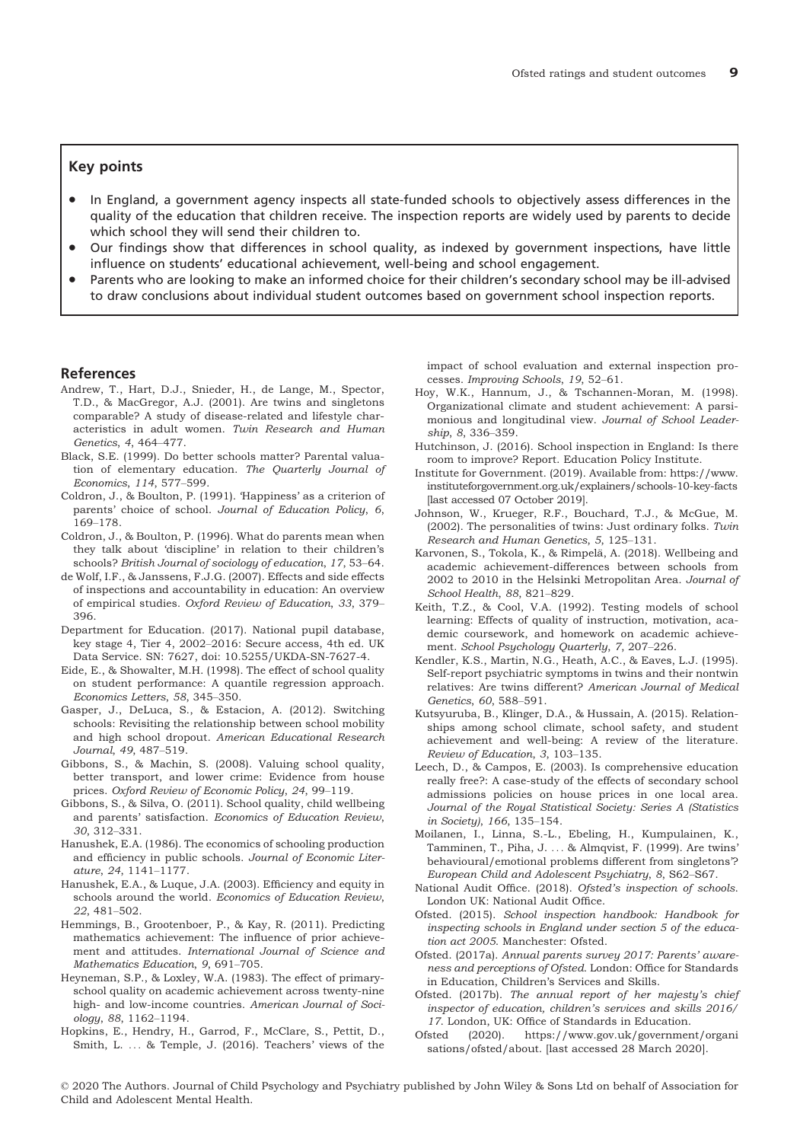#### Key points

- In England, a government agency inspects all state-funded schools to objectively assess differences in the quality of the education that children receive. The inspection reports are widely used by parents to decide which school they will send their children to.
- Our findings show that differences in school quality, as indexed by government inspections, have little influence on students' educational achievement, well-being and school engagement.
- Parents who are looking to make an informed choice for their children's secondary school may be ill-advised to draw conclusions about individual student outcomes based on government school inspection reports.

#### References

- Andrew, T., Hart, D.J., Snieder, H., de Lange, M., Spector, T.D., & MacGregor, A.J. (2001). Are twins and singletons comparable? A study of disease-related and lifestyle characteristics in adult women. Twin Research and Human Genetics, 4, 464–477.
- Black, S.E. (1999). Do better schools matter? Parental valuation of elementary education. The Quarterly Journal of Economics, 114, 577–599.
- Coldron, J., & Boulton, P. (1991). 'Happiness' as a criterion of parents' choice of school. Journal of Education Policy, 6, 169–178.
- Coldron, J., & Boulton, P. (1996). What do parents mean when they talk about 'discipline' in relation to their children's schools? British Journal of sociology of education, 17, 53–64.
- de Wolf, I.F., & Janssens, F.J.G. (2007). Effects and side effects of inspections and accountability in education: An overview of empirical studies. Oxford Review of Education, 33, 379– 396.
- Department for Education. (2017). National pupil database, key stage 4, Tier 4, 2002–2016: Secure access, 4th ed. UK Data Service. SN: 7627, doi: 10.5255/UKDA-SN-7627-4.
- Eide, E., & Showalter, M.H. (1998). The effect of school quality on student performance: A quantile regression approach. Economics Letters, 58, 345–350.
- Gasper, J., DeLuca, S., & Estacion, A. (2012). Switching schools: Revisiting the relationship between school mobility and high school dropout. American Educational Research Journal, 49, 487–519.
- Gibbons, S., & Machin, S. (2008). Valuing school quality, better transport, and lower crime: Evidence from house prices. Oxford Review of Economic Policy, 24, 99–119.
- Gibbons, S., & Silva, O. (2011). School quality, child wellbeing and parents' satisfaction. Economics of Education Review, 30, 312–331.
- Hanushek, E.A. (1986). The economics of schooling production and efficiency in public schools. Journal of Economic Literature, 24, 1141–1177.
- Hanushek, E.A., & Luque, J.A. (2003). Efficiency and equity in schools around the world. Economics of Education Review, 22, 481–502.
- Hemmings, B., Grootenboer, P., & Kay, R. (2011). Predicting mathematics achievement: The influence of prior achievement and attitudes. International Journal of Science and Mathematics Education, 9, 691–705.
- Heyneman, S.P., & Loxley, W.A. (1983). The effect of primaryschool quality on academic achievement across twenty-nine high- and low-income countries. American Journal of Sociology, 88, 1162–1194.
- Hopkins, E., Hendry, H., Garrod, F., McClare, S., Pettit, D., Smith, L. ... & Temple, J. (2016). Teachers' views of the

impact of school evaluation and external inspection processes. Improving Schools, 19, 52–61.

- Hoy, W.K., Hannum, J., & Tschannen-Moran, M. (1998). Organizational climate and student achievement: A parsimonious and longitudinal view. Journal of School Leadership, 8, 336–359.
- Hutchinson, J. (2016). School inspection in England: Is there room to improve? Report. Education Policy Institute.
- Institute for Government. (2019). Available from: [https://www.](https://www.instituteforgovernment.org.uk/explainers/schools-10-key-facts) [instituteforgovernment.org.uk/explainers/schools-10-key-facts](https://www.instituteforgovernment.org.uk/explainers/schools-10-key-facts) [last accessed 07 October 2019].
- Johnson, W., Krueger, R.F., Bouchard, T.J., & McGue, M. (2002). The personalities of twins: Just ordinary folks.  $Twin$ Research and Human Genetics, 5, 125–131.
- Karvonen, S., Tokola, K., & Rimpelä, A. (2018). Wellbeing and academic achievement-differences between schools from 2002 to 2010 in the Helsinki Metropolitan Area. Journal of School Health, 88, 821–829.
- Keith, T.Z., & Cool, V.A. (1992). Testing models of school learning: Effects of quality of instruction, motivation, academic coursework, and homework on academic achievement. School Psychology Quarterly, 7, 207–226.
- Kendler, K.S., Martin, N.G., Heath, A.C., & Eaves, L.J. (1995). Self-report psychiatric symptoms in twins and their nontwin relatives: Are twins different? American Journal of Medical Genetics, 60, 588–591.
- Kutsyuruba, B., Klinger, D.A., & Hussain, A. (2015). Relationships among school climate, school safety, and student achievement and well-being: A review of the literature. Review of Education, 3, 103–135.
- Leech, D., & Campos, E. (2003). Is comprehensive education really free?: A case-study of the effects of secondary school admissions policies on house prices in one local area. Journal of the Royal Statistical Society: Series A (Statistics in Society), 166, 135–154.
- Moilanen, I., Linna, S.-L., Ebeling, H., Kumpulainen, K., Tamminen, T., Piha, J. ... & Almqvist, F. (1999). Are twins' behavioural/emotional problems different from singletons'? European Child and Adolescent Psychiatry, 8, S62–S67.
- National Audit Office. (2018). Ofsted's inspection of schools. London UK: National Audit Office.
- Ofsted. (2015). School inspection handbook: Handbook for inspecting schools in England under section 5 of the education act 2005. Manchester: Ofsted.
- Ofsted. (2017a). Annual parents survey 2017: Parents' awareness and perceptions of Ofsted. London: Office for Standards in Education, Children's Services and Skills.
- Ofsted. (2017b). The annual report of her majesty's chief inspector of education, children's services and skills 2016/ 17. London, UK: Office of Standards in Education.
- Ofsted (2020). [https://www.gov.uk/government/organi](https://www.gov.uk/government/organisations/ofsted/about) [sations/ofsted/about](https://www.gov.uk/government/organisations/ofsted/about). [last accessed 28 March 2020].
- © 2020 The Authors. Journal of Child Psychology and Psychiatry published by John Wiley & Sons Ltd on behalf of Association for Child and Adolescent Mental Health.